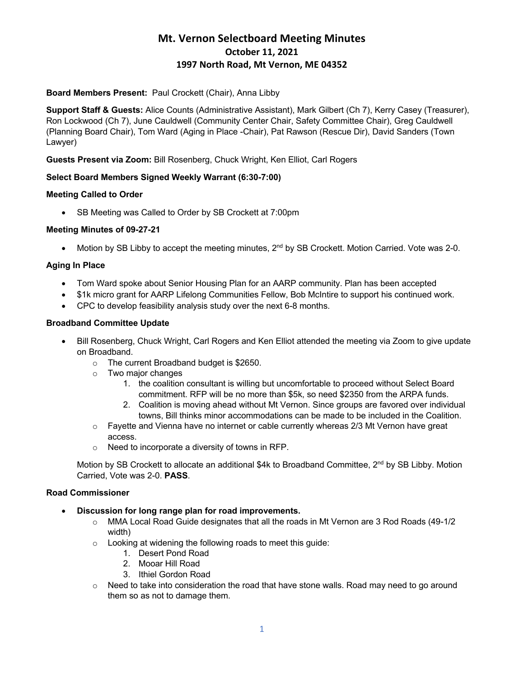# **Mt. Vernon Selectboard Meeting Minutes October 11, 2021 1997 North Road, Mt Vernon, ME 04352**

## **Board Members Present:** Paul Crockett (Chair), Anna Libby

**Support Staff & Guests:** Alice Counts (Administrative Assistant), Mark Gilbert (Ch 7), Kerry Casey (Treasurer), Ron Lockwood (Ch 7), June Cauldwell (Community Center Chair, Safety Committee Chair), Greg Cauldwell (Planning Board Chair), Tom Ward (Aging in Place -Chair), Pat Rawson (Rescue Dir), David Sanders (Town Lawyer)

**Guests Present via Zoom:** Bill Rosenberg, Chuck Wright, Ken Elliot, Carl Rogers

### **Select Board Members Signed Weekly Warrant (6:30-7:00)**

### **Meeting Called to Order**

• SB Meeting was Called to Order by SB Crockett at 7:00pm

### **Meeting Minutes of 09-27-21**

• Motion by SB Libby to accept the meeting minutes, 2<sup>nd</sup> by SB Crockett. Motion Carried. Vote was 2-0.

### **Aging In Place**

- Tom Ward spoke about Senior Housing Plan for an AARP community. Plan has been accepted
- \$1k micro grant for AARP Lifelong Communities Fellow, Bob McIntire to support his continued work.
- CPC to develop feasibility analysis study over the next 6-8 months.

#### **Broadband Committee Update**

- Bill Rosenberg, Chuck Wright, Carl Rogers and Ken Elliot attended the meeting via Zoom to give update on Broadband.
	- o The current Broadband budget is \$2650.
	- o Two major changes
		- 1. the coalition consultant is willing but uncomfortable to proceed without Select Board commitment. RFP will be no more than \$5k, so need \$2350 from the ARPA funds.
		- 2. Coalition is moving ahead without Mt Vernon. Since groups are favored over individual towns, Bill thinks minor accommodations can be made to be included in the Coalition.
	- $\circ$  Fayette and Vienna have no internet or cable currently whereas 2/3 Mt Vernon have great access.
	- o Need to incorporate a diversity of towns in RFP.

Motion by SB Crockett to allocate an additional \$4k to Broadband Committee, 2<sup>nd</sup> by SB Libby. Motion Carried, Vote was 2-0. **PASS**.

### **Road Commissioner**

- **Discussion for long range plan for road improvements.**
	- $\circ$  MMA Local Road Guide designates that all the roads in Mt Vernon are 3 Rod Roads (49-1/2) width)
	- o Looking at widening the following roads to meet this guide:
		- 1. Desert Pond Road
		- 2. Mooar Hill Road
		- 3. Ithiel Gordon Road
	- $\circ$  Need to take into consideration the road that have stone walls. Road may need to go around them so as not to damage them.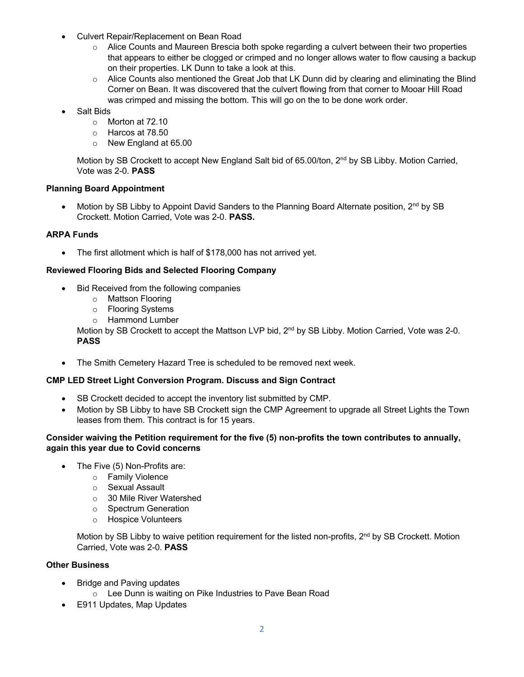- Culvert Repair/Replacement on Bean Road
	- $\circ$  Alice Counts and Maureen Brescia both spoke regarding a culvert between their two properties that appears to either be clogged or crimped and no longer allows water to flow causing a backup on their properties. LK Dunn to take a look at this.
	- o Alice Counts also mentioned the Great Job that LK Dunn did by clearing and eliminating the Blind Corner on Bean. It was discovered that the culvert flowing from that corner to Mooar Hill Road was crimped and missing the bottom. This will go on the to be done work order.
- Salt Bids
	- o Morton at 72.10
	- o Harcos at 78.50
	- o New England at 65.00

Motion by SB Crockett to accept New England Salt bid of 65.00/ton, 2<sup>nd</sup> by SB Libby. Motion Carried, Vote was 2-0. **PASS**

### **Planning Board Appointment**

Motion by SB Libby to Appoint David Sanders to the Planning Board Alternate position, 2<sup>nd</sup> by SB Crockett. Motion Carried, Vote was 2-0. **PASS.**

### **ARPA Funds**

• The first allotment which is half of \$178,000 has not arrived yet.

### **Reviewed Flooring Bids and Selected Flooring Company**

- Bid Received from the following companies
	- o Mattson Flooring
	- o Flooring Systems
	- o Hammond Lumber

Motion by SB Crockett to accept the Mattson LVP bid, 2<sup>nd</sup> by SB Libby. Motion Carried, Vote was 2-0. **PASS**

• The Smith Cemetery Hazard Tree is scheduled to be removed next week.

#### **CMP LED Street Light Conversion Program. Discuss and Sign Contract**

- SB Crockett decided to accept the inventory list submitted by CMP.
- Motion by SB Libby to have SB Crockett sign the CMP Agreement to upgrade all Street Lights the Town leases from them. This contract is for 15 years.

### **Consider waiving the Petition requirement for the five (5) non-profits the town contributes to annually, again this year due to Covid concerns**

- The Five (5) Non-Profits are:
	- o Family Violence
	- o Sexual Assault
	- o 30 Mile River Watershed
	- o Spectrum Generation
	- o Hospice Volunteers

Motion by SB Libby to waive petition requirement for the listed non-profits, 2<sup>nd</sup> by SB Crockett. Motion Carried, Vote was 2-0. **PASS**

# **Other Business**

- Bridge and Paving updates
	- o Lee Dunn is waiting on Pike Industries to Pave Bean Road
- E911 Updates, Map Updates